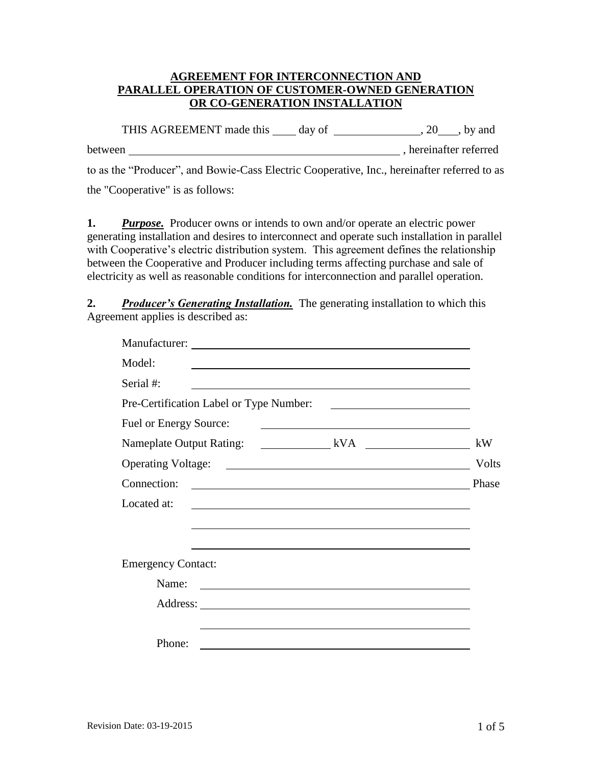## **AGREEMENT FOR INTERCONNECTION AND PARALLEL OPERATION OF CUSTOMER-OWNED GENERATION OR CO-GENERATION INSTALLATION**

THIS AGREEMENT made this  $\_\_\_$  day of  $\_\_\_\_\_$ , 20  $\_\_\_$ , by and between , hereinafter referred to as the "Producer", and Bowie-Cass Electric Cooperative, Inc., hereinafter referred to as the "Cooperative" is as follows:

 **1.** *Purpose.* Producer owns or intends to own and/or operate an electric power between the Cooperative and Producer including terms affecting purchase and sale of generating installation and desires to interconnect and operate such installation in parallel with Cooperative's electric distribution system. This agreement defines the relationship electricity as well as reasonable conditions for interconnection and parallel operation.

 **2.** *Producer's Generating Installation.* The generating installation to which this Agreement applies is described as:

| Model:<br><u> 1989 - Andrea Stadt Britain, amerikansk politiker (d. 1989)</u>                                                        |                                                                                                                                                                                                                                      |
|--------------------------------------------------------------------------------------------------------------------------------------|--------------------------------------------------------------------------------------------------------------------------------------------------------------------------------------------------------------------------------------|
| Serial #:<br><u> 1980 - Jan Samuel Barbara, margaret e populazion del control del control del control del control de la control</u>  |                                                                                                                                                                                                                                      |
|                                                                                                                                      |                                                                                                                                                                                                                                      |
| Fuel or Energy Source:                                                                                                               | <u>and the contract of the contract of the contract of the contract of the contract of the contract of the contract of the contract of the contract of the contract of the contract of the contract of the contract of the contr</u> |
|                                                                                                                                      | kW                                                                                                                                                                                                                                   |
|                                                                                                                                      | Volts                                                                                                                                                                                                                                |
| Connection:<br><u> 1980 - Johann Barn, mars ann an t-Amhain Aonaichte ann an t-Aonaichte ann an t-Aonaichte ann an t-Aonaichte a</u> | Phase                                                                                                                                                                                                                                |
| Located at:<br>and the control of the control of the control of the control of the control of the control of the control of the      |                                                                                                                                                                                                                                      |
|                                                                                                                                      |                                                                                                                                                                                                                                      |
|                                                                                                                                      |                                                                                                                                                                                                                                      |
| <b>Emergency Contact:</b>                                                                                                            |                                                                                                                                                                                                                                      |
| Name:<br><u> 1989 - Johann Barbara, martin amerikan basal dan berasal dan berasal dalam basal dalam basal dalam basal dala</u>       |                                                                                                                                                                                                                                      |
|                                                                                                                                      |                                                                                                                                                                                                                                      |
|                                                                                                                                      |                                                                                                                                                                                                                                      |
| Phone:                                                                                                                               |                                                                                                                                                                                                                                      |
|                                                                                                                                      |                                                                                                                                                                                                                                      |
|                                                                                                                                      |                                                                                                                                                                                                                                      |
|                                                                                                                                      |                                                                                                                                                                                                                                      |
| <b>Revision Date: 03-19-2015</b>                                                                                                     | $1$ of $5$                                                                                                                                                                                                                           |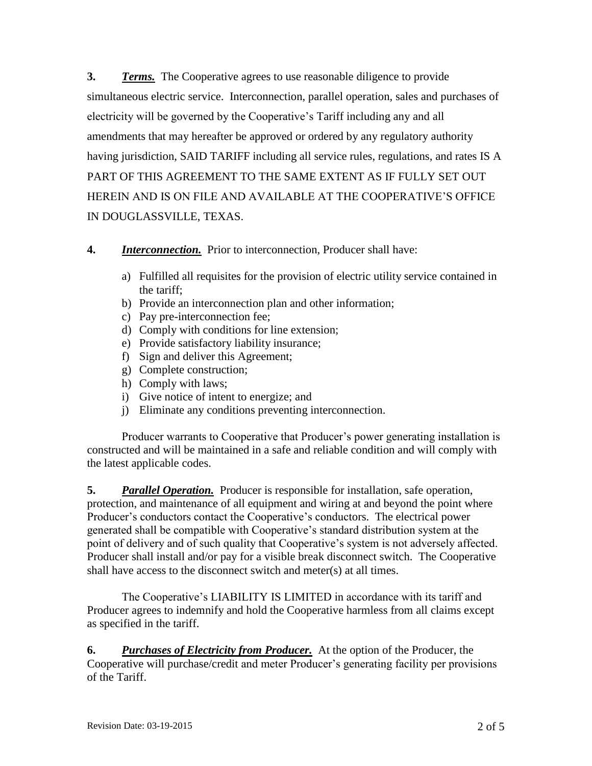**3.** *Terms.* The Cooperative agrees to use reasonable diligence to provide electricity will be governed by the Cooperative's Tariff including any and all amendments that may hereafter be approved or ordered by any regulatory authority simultaneous electric service. Interconnection, parallel operation, sales and purchases of having jurisdiction, SAID TARIFF including all service rules, regulations, and rates IS A PART OF THIS AGREEMENT TO THE SAME EXTENT AS IF FULLY SET OUT HEREIN AND IS ON FILE AND AVAILABLE AT THE COOPERATIVE'S OFFICE IN DOUGLASSVILLE, TEXAS.

## **4.** *Interconnection.* Prior to interconnection, Producer shall have:

- a) Fulfilled all requisites for the provision of electric utility service contained in the tariff;
- b) Provide an interconnection plan and other information;
- c) Pay pre-interconnection fee;
- d) Comply with conditions for line extension;
- e) Provide satisfactory liability insurance;
- f) Sign and deliver this Agreement;
- g) Complete construction;
- h) Comply with laws;
- i) Give notice of intent to energize; and
- j) Eliminate any conditions preventing interconnection.

Producer warrants to Cooperative that Producer's power generating installation is constructed and will be maintained in a safe and reliable condition and will comply with the latest applicable codes.

 **5.** *Parallel Operation.* Producer is responsible for installation, safe operation, protection, and maintenance of all equipment and wiring at and beyond the point where Producer's conductors contact the Cooperative's conductors. The electrical power generated shall be compatible with Cooperative's standard distribution system at the point of delivery and of such quality that Cooperative's system is not adversely affected. Producer shall install and/or pay for a visible break disconnect switch. The Cooperative shall have access to the disconnect switch and meter(s) at all times.

The Cooperative's LIABILITY IS LIMITED in accordance with its tariff and Producer agrees to indemnify and hold the Cooperative harmless from all claims except as specified in the tariff.

**6.** Purchases of Electricity from Producer. At the option of the Producer, the Cooperative will purchase/credit and meter Producer's generating facility per provisions of the Tariff.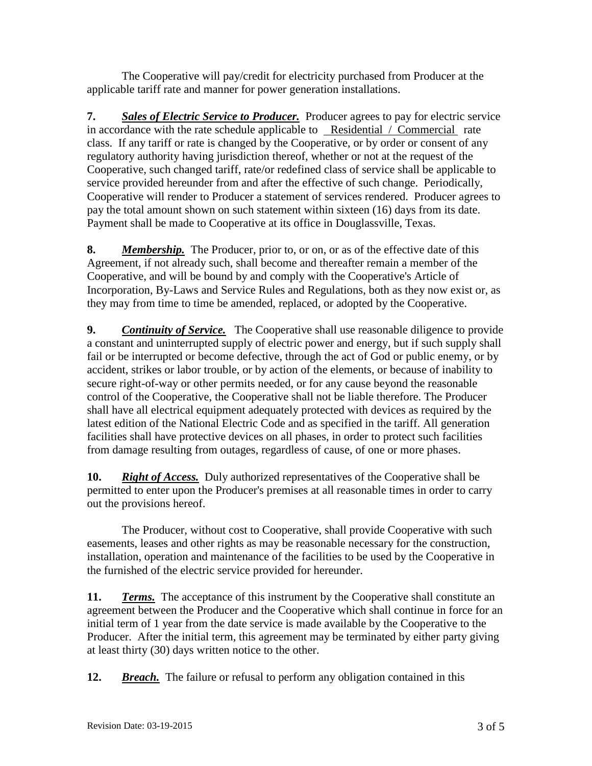The Cooperative will pay/credit for electricity purchased from Producer at the applicable tariff rate and manner for power generation installations.

7. **Sales of Electric Service to Producer.** Producer agrees to pay for electric service in accordance with the rate schedule applicable to Residential / Commercial rate class. If any tariff or rate is changed by the Cooperative, or by order or consent of any regulatory authority having jurisdiction thereof, whether or not at the request of the Cooperative, such changed tariff, rate/or redefined class of service shall be applicable to service provided hereunder from and after the effective of such change. Periodically, Cooperative will render to Producer a statement of services rendered. Producer agrees to pay the total amount shown on such statement within sixteen (16) days from its date. Payment shall be made to Cooperative at its office in Douglassville, Texas.

**8.** *Membership.* The Producer, prior to, or on, or as of the effective date of this Agreement, if not already such, shall become and thereafter remain a member of the Cooperative, and will be bound by and comply with the Cooperative's Article of Incorporation, By-Laws and Service Rules and Regulations, both as they now exist or, as they may from time to time be amended, replaced, or adopted by the Cooperative.

 **9.** *Continuity of Service.* The Cooperative shall use reasonable diligence to provide from damage resulting from outages, regardless of cause, of one or more phases. a constant and uninterrupted supply of electric power and energy, but if such supply shall fail or be interrupted or become defective, through the act of God or public enemy, or by accident, strikes or labor trouble, or by action of the elements, or because of inability to secure right-of-way or other permits needed, or for any cause beyond the reasonable control of the Cooperative, the Cooperative shall not be liable therefore. The Producer shall have all electrical equipment adequately protected with devices as required by the latest edition of the National Electric Code and as specified in the tariff. All generation facilities shall have protective devices on all phases, in order to protect such facilities

 **10.** *Right of Access.* Duly authorized representatives of the Cooperative shall be permitted to enter upon the Producer's premises at all reasonable times in order to carry out the provisions hereof.

 easements, leases and other rights as may be reasonable necessary for the construction, The Producer, without cost to Cooperative, shall provide Cooperative with such installation, operation and maintenance of the facilities to be used by the Cooperative in the furnished of the electric service provided for hereunder.

**11.** *Terms.* The acceptance of this instrument by the Cooperative shall constitute an Producer. After the initial term, this agreement may be terminated by either party giving agreement between the Producer and the Cooperative which shall continue in force for an initial term of 1 year from the date service is made available by the Cooperative to the at least thirty (30) days written notice to the other.

**12.** *Breach.* The failure or refusal to perform any obligation contained in this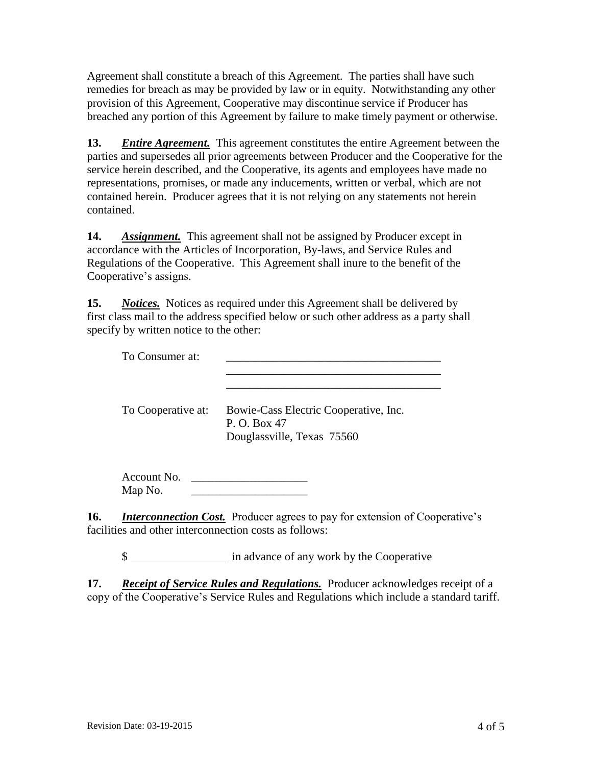Agreement shall constitute a breach of this Agreement. The parties shall have such remedies for breach as may be provided by law or in equity. Notwithstanding any other provision of this Agreement, Cooperative may discontinue service if Producer has breached any portion of this Agreement by failure to make timely payment or otherwise.

 **13.** *Entire Agreement.* This agreement constitutes the entire Agreement between the parties and supersedes all prior agreements between Producer and the Cooperative for the service herein described, and the Cooperative, its agents and employees have made no representations, promises, or made any inducements, written or verbal, which are not contained herein. Producer agrees that it is not relying on any statements not herein contained.

 **14.** *Assignment.* This agreement shall not be assigned by Producer except in accordance with the Articles of Incorporation, By-laws, and Service Rules and Regulations of the Cooperative. This Agreement shall inure to the benefit of the Cooperative's assigns.

**15.** *Notices.* Notices as required under this Agreement shall be delivered by specify by written notice to the other: first class mail to the address specified below or such other address as a party shall

| To Consumer at:        |                                                                                     |
|------------------------|-------------------------------------------------------------------------------------|
| To Cooperative at:     | Bowie-Cass Electric Cooperative, Inc.<br>P. O. Box 47<br>Douglassville, Texas 75560 |
| Account No.<br>Map No. |                                                                                     |

16. *Interconnection Cost.* Producer agrees to pay for extension of Cooperative's facilities and other interconnection costs as follows:

\$ in advance of any work by the Cooperative

 **17.** *Receipt of Service Rules and Regulations.* Producer acknowledges receipt of a copy of the Cooperative's Service Rules and Regulations which include a standard tariff.